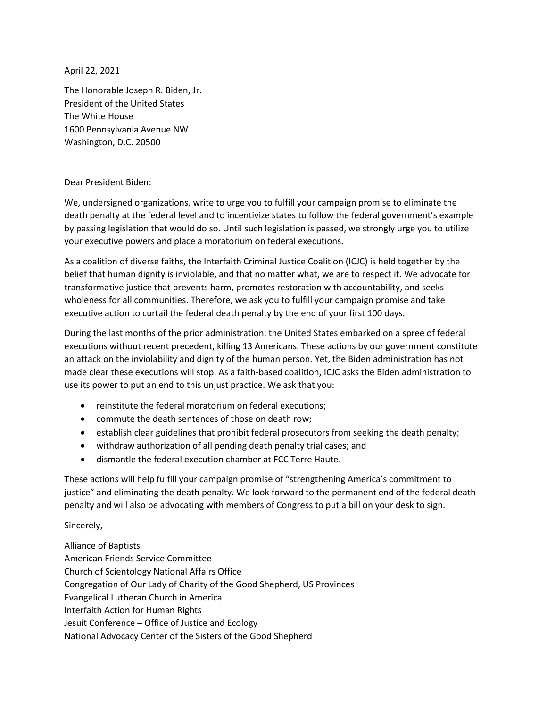April 22, 2021

The Honorable Joseph R. Biden, Jr. President of the United States The White House 1600 Pennsylvania Avenue NW Washington, D.C. 20500

## Dear President Biden:

We, undersigned organizations, write to urge you to fulfill your campaign promise to eliminate the death penalty at the federal level and to incentivize states to follow the federal government's example by passing legislation that would do so. Until such legislation is passed, we strongly urge you to utilize your executive powers and place a moratorium on federal executions.

As a coalition of diverse faiths, the Interfaith Criminal Justice Coalition (ICJC) is held together by the belief that human dignity is inviolable, and that no matter what, we are to respect it. We advocate for transformative justice that prevents harm, promotes restoration with accountability, and seeks wholeness for all communities. Therefore, we ask you to fulfill your campaign promise and take executive action to curtail the federal death penalty by the end of your first 100 days.

During the last months of the prior administration, the United States embarked on a spree of federal executions without recent precedent, killing 13 Americans. These actions by our government constitute an attack on the inviolability and dignity of the human person. Yet, the Biden administration has not made clear these executions will stop. As a faith-based coalition, ICJC asks the Biden administration to use its power to put an end to this unjust practice. We ask that you:

- reinstitute the federal moratorium on federal executions;
- commute the death sentences of those on death row;
- establish clear guidelines that prohibit federal prosecutors from seeking the death penalty;
- withdraw authorization of all pending death penalty trial cases; and
- dismantle the federal execution chamber at FCC Terre Haute.

These actions will help fulfill your campaign promise of "strengthening America's commitment to justice" and eliminating the death penalty. We look forward to the permanent end of the federal death penalty and will also be advocating with members of Congress to put a bill on your desk to sign.

## Sincerely,

Alliance of Baptists American Friends Service Committee Church of Scientology National Affairs Office Congregation of Our Lady of Charity of the Good Shepherd, US Provinces Evangelical Lutheran Church in America Interfaith Action for Human Rights Jesuit Conference – Office of Justice and Ecology National Advocacy Center of the Sisters of the Good Shepherd